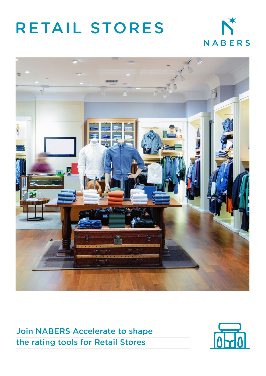# RETAIL STORES





Join NABERS Accelerate to shape the rating tools for Retail Stores

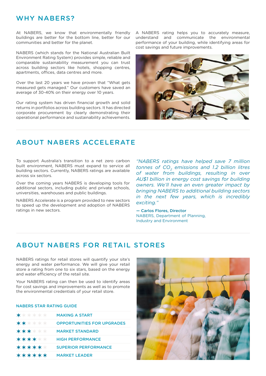## WHY NABERS?

At NABERS, we know that environmentally friendly buildings are better for the bottom line, better for our communities and better for the planet.

NABERS (which stands for the National Australian Built Environment Rating System) provides simple, reliable and comparable sustainability measurement you can trust across building sectors like hotels, shopping centres, apartments, offices, data centres and more.

Over the last 20 years we have proven that "What gets measured gets managed." Our customers have saved an average of 30-40% on their energy over 10 years.

Our rating system has driven financial growth and solid returns in portfolios across building sectors. It has directed corporate procurement by clearly demonstrating their operational performance and sustainability achievements. A NABERS rating helps you to accurately measure, understand and communicate the environmental performance of your building, while identifying areas for cost savings and future improvements.



# ABOUT NABERS ACCELERATE

To support Australia's transition to a net zero carbon built environment, NABERS must expand to service all building sectors. Currently, NABERS ratings are available across six sectors.

Over the coming years NABERS is developing tools for additional sectors, including public and private schools, universities, warehouses and public buildings.

NABERS Accelerate is a program provided to new sectors to speed up the development and adoption of NABERS ratings in new sectors.

*"NABERS ratings have helped save 7 million tonnes of CO<sub>2</sub> emissions and 1.2 billion litres of water from buildings, resulting in over AU\$1 billion in energy cost savings for building owners. We'll have an even greater impact by bringing NABERS to additional building sectors in the next few years, which is incredibly exciting."*

— Carlos Flores, Director NABERS, Department of Planning, Industry and Environment

## ABOUT NABERS FOR RETAIL STORES

NABERS ratings for retail stores will quantify your site's energy and water performance. We will give your retail store a rating from one to six stars, based on the energy and water efficiency of the retail site.

Your NABERS rating can then be used to identify areas for cost savings and improvements as well as to promote the environmental credentials of your retail store.

## NABERS STAR RATING GUIDE

| $***$ ***      | <b>MAKING A START</b>             |
|----------------|-----------------------------------|
| <b>★★</b> ★★★★ | <b>OPPORTUNITIES FOR UPGRADES</b> |
| <b>***</b> *** | <b>MARKET STANDARD</b>            |
| ******         | <b>HIGH PERFORMANCE</b>           |
| ******         | <b>SUPERIOR PERFORMANCE</b>       |
| ******         | <b>MARKET LEADER</b>              |

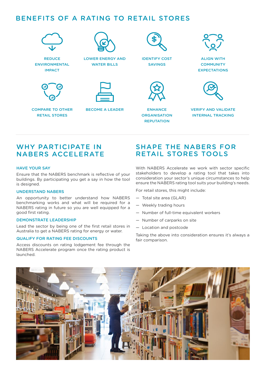# BENEFITS OF A RATING TO RETAIL STORES



REDUCE ENVIRONMENTAL IMPACT



LOWER ENERGY AND WATER BILLS



COMPARE TO OTHER BECOME A LEADER RETAIL STORES





IDENTIFY COST SAVINGS

**ENHANCE ORGANISATION REPUTATION** 



ALIGN WITH **COMMUNITY EXPECTATIONS** 



VERIFY AND VALIDATE INTERNAL TRACKING

# WHY PARTICIPATE IN NABERS ACCELERATE

## HAVE YOUR SAY

Ensure that the NABERS benchmark is reflective of your buildings. By participating you get a say in how the tool is designed.

## UNDERSTAND NABERS

An opportunity to better understand how NABERS benchmarking works and what will be required for a NABERS rating in future so you are well equipped for a good first rating.

## DEMONSTRATE LEADERSHIP

Lead the sector by being one of the first retail stores in Australia to get a NABERS rating for energy or water.

## QUALIFY FOR RATING FEE DISCOUNTS

Access discounts on rating lodgement fee through the NABERS Accelerate program once the rating product is launched.

## SHAPE THE NABERS FOR RETAIL STORES TOOLS

With NABERS Accelerate we work with sector specific stakeholders to develop a rating tool that takes into consideration your sector's unique circumstances to help ensure the NABERS rating tool suits your building's needs.

For retail stores, this might include:

- Total site area (GLAR)
- Weekly trading hours
- Number of full-time equivalent workers
- Number of carparks on site
- Location and postcode

Taking the above into consideration ensures it's always a fair comparison.